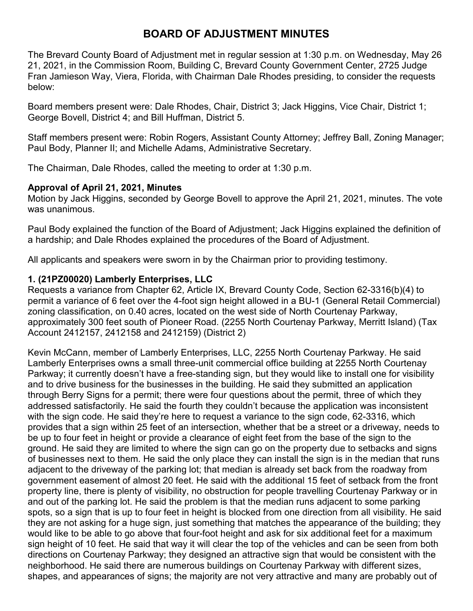# **BOARD OF ADJUSTMENT MINUTES**

The Brevard County Board of Adjustment met in regular session at 1:30 p.m. on Wednesday, May 26 21, 2021, in the Commission Room, Building C, Brevard County Government Center, 2725 Judge Fran Jamieson Way, Viera, Florida, with Chairman Dale Rhodes presiding, to consider the requests below:

Board members present were: Dale Rhodes, Chair, District 3; Jack Higgins, Vice Chair, District 1; George Bovell, District 4; and Bill Huffman, District 5.

Staff members present were: Robin Rogers, Assistant County Attorney; Jeffrey Ball, Zoning Manager; Paul Body, Planner II; and Michelle Adams, Administrative Secretary.

The Chairman, Dale Rhodes, called the meeting to order at 1:30 p.m.

## **Approval of April 21, 2021, Minutes**

Motion by Jack Higgins, seconded by George Bovell to approve the April 21, 2021, minutes. The vote was unanimous.

Paul Body explained the function of the Board of Adjustment; Jack Higgins explained the definition of a hardship; and Dale Rhodes explained the procedures of the Board of Adjustment.

All applicants and speakers were sworn in by the Chairman prior to providing testimony.

## **1. (21PZ00020) Lamberly Enterprises, LLC**

Requests a variance from Chapter 62, Article IX, Brevard County Code, Section 62-3316(b)(4) to permit a variance of 6 feet over the 4-foot sign height allowed in a BU-1 (General Retail Commercial) zoning classification, on 0.40 acres, located on the west side of North Courtenay Parkway, approximately 300 feet south of Pioneer Road. (2255 North Courtenay Parkway, Merritt Island) (Tax Account 2412157, 2412158 and 2412159) (District 2)

Kevin McCann, member of Lamberly Enterprises, LLC, 2255 North Courtenay Parkway. He said Lamberly Enterprises owns a small three-unit commercial office building at 2255 North Courtenay Parkway; it currently doesn't have a free-standing sign, but they would like to install one for visibility and to drive business for the businesses in the building. He said they submitted an application through Berry Signs for a permit; there were four questions about the permit, three of which they addressed satisfactorily. He said the fourth they couldn't because the application was inconsistent with the sign code. He said they're here to request a variance to the sign code, 62-3316, which provides that a sign within 25 feet of an intersection, whether that be a street or a driveway, needs to be up to four feet in height or provide a clearance of eight feet from the base of the sign to the ground. He said they are limited to where the sign can go on the property due to setbacks and signs of businesses next to them. He said the only place they can install the sign is in the median that runs adjacent to the driveway of the parking lot; that median is already set back from the roadway from government easement of almost 20 feet. He said with the additional 15 feet of setback from the front property line, there is plenty of visibility, no obstruction for people travelling Courtenay Parkway or in and out of the parking lot. He said the problem is that the median runs adjacent to some parking spots, so a sign that is up to four feet in height is blocked from one direction from all visibility. He said they are not asking for a huge sign, just something that matches the appearance of the building; they would like to be able to go above that four-foot height and ask for six additional feet for a maximum sign height of 10 feet. He said that way it will clear the top of the vehicles and can be seen from both directions on Courtenay Parkway; they designed an attractive sign that would be consistent with the neighborhood. He said there are numerous buildings on Courtenay Parkway with different sizes, shapes, and appearances of signs; the majority are not very attractive and many are probably out of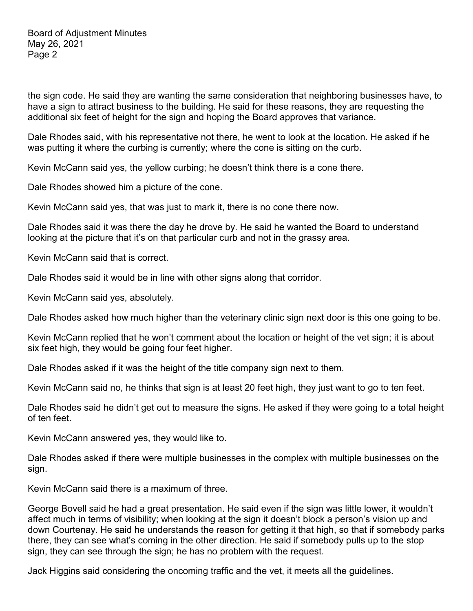the sign code. He said they are wanting the same consideration that neighboring businesses have, to have a sign to attract business to the building. He said for these reasons, they are requesting the additional six feet of height for the sign and hoping the Board approves that variance.

Dale Rhodes said, with his representative not there, he went to look at the location. He asked if he was putting it where the curbing is currently; where the cone is sitting on the curb.

Kevin McCann said yes, the yellow curbing; he doesn't think there is a cone there.

Dale Rhodes showed him a picture of the cone.

Kevin McCann said yes, that was just to mark it, there is no cone there now.

Dale Rhodes said it was there the day he drove by. He said he wanted the Board to understand looking at the picture that it's on that particular curb and not in the grassy area.

Kevin McCann said that is correct.

Dale Rhodes said it would be in line with other signs along that corridor.

Kevin McCann said yes, absolutely.

Dale Rhodes asked how much higher than the veterinary clinic sign next door is this one going to be.

Kevin McCann replied that he won't comment about the location or height of the vet sign; it is about six feet high, they would be going four feet higher.

Dale Rhodes asked if it was the height of the title company sign next to them.

Kevin McCann said no, he thinks that sign is at least 20 feet high, they just want to go to ten feet.

Dale Rhodes said he didn't get out to measure the signs. He asked if they were going to a total height of ten feet.

Kevin McCann answered yes, they would like to.

Dale Rhodes asked if there were multiple businesses in the complex with multiple businesses on the sign.

Kevin McCann said there is a maximum of three.

George Bovell said he had a great presentation. He said even if the sign was little lower, it wouldn't affect much in terms of visibility; when looking at the sign it doesn't block a person's vision up and down Courtenay. He said he understands the reason for getting it that high, so that if somebody parks there, they can see what's coming in the other direction. He said if somebody pulls up to the stop sign, they can see through the sign; he has no problem with the request.

Jack Higgins said considering the oncoming traffic and the vet, it meets all the guidelines.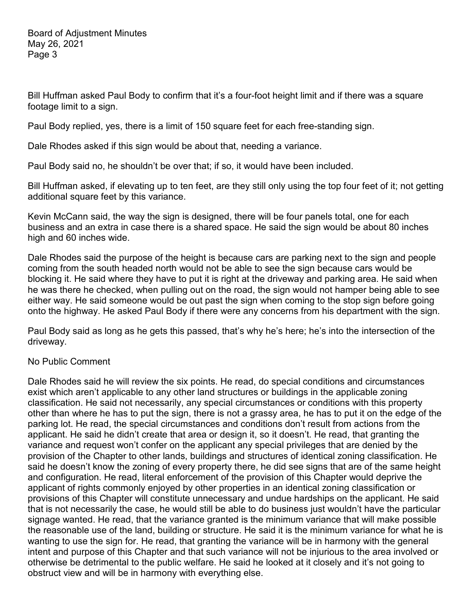Bill Huffman asked Paul Body to confirm that it's a four-foot height limit and if there was a square footage limit to a sign.

Paul Body replied, yes, there is a limit of 150 square feet for each free-standing sign.

Dale Rhodes asked if this sign would be about that, needing a variance.

Paul Body said no, he shouldn't be over that; if so, it would have been included.

Bill Huffman asked, if elevating up to ten feet, are they still only using the top four feet of it; not getting additional square feet by this variance.

Kevin McCann said, the way the sign is designed, there will be four panels total, one for each business and an extra in case there is a shared space. He said the sign would be about 80 inches high and 60 inches wide.

Dale Rhodes said the purpose of the height is because cars are parking next to the sign and people coming from the south headed north would not be able to see the sign because cars would be blocking it. He said where they have to put it is right at the driveway and parking area. He said when he was there he checked, when pulling out on the road, the sign would not hamper being able to see either way. He said someone would be out past the sign when coming to the stop sign before going onto the highway. He asked Paul Body if there were any concerns from his department with the sign.

Paul Body said as long as he gets this passed, that's why he's here; he's into the intersection of the driveway.

#### No Public Comment

Dale Rhodes said he will review the six points. He read, do special conditions and circumstances exist which aren't applicable to any other land structures or buildings in the applicable zoning classification. He said not necessarily, any special circumstances or conditions with this property other than where he has to put the sign, there is not a grassy area, he has to put it on the edge of the parking lot. He read, the special circumstances and conditions don't result from actions from the applicant. He said he didn't create that area or design it, so it doesn't. He read, that granting the variance and request won't confer on the applicant any special privileges that are denied by the provision of the Chapter to other lands, buildings and structures of identical zoning classification. He said he doesn't know the zoning of every property there, he did see signs that are of the same height and configuration. He read, literal enforcement of the provision of this Chapter would deprive the applicant of rights commonly enjoyed by other properties in an identical zoning classification or provisions of this Chapter will constitute unnecessary and undue hardships on the applicant. He said that is not necessarily the case, he would still be able to do business just wouldn't have the particular signage wanted. He read, that the variance granted is the minimum variance that will make possible the reasonable use of the land, building or structure. He said it is the minimum variance for what he is wanting to use the sign for. He read, that granting the variance will be in harmony with the general intent and purpose of this Chapter and that such variance will not be injurious to the area involved or otherwise be detrimental to the public welfare. He said he looked at it closely and it's not going to obstruct view and will be in harmony with everything else.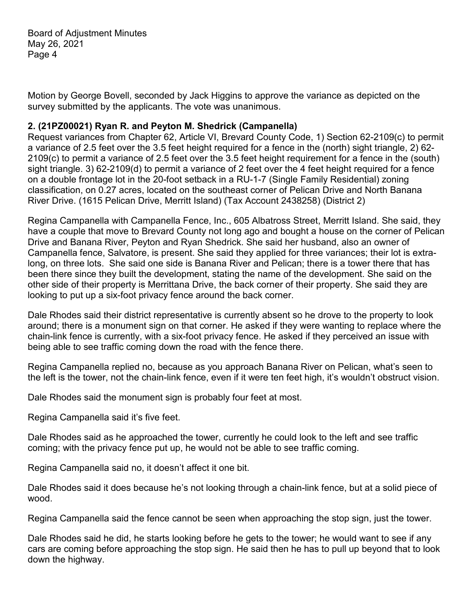Motion by George Bovell, seconded by Jack Higgins to approve the variance as depicted on the survey submitted by the applicants. The vote was unanimous.

## **2. (21PZ00021) Ryan R. and Peyton M. Shedrick (Campanella)**

Request variances from Chapter 62, Article VI, Brevard County Code, 1) Section 62-2109(c) to permit a variance of 2.5 feet over the 3.5 feet height required for a fence in the (north) sight triangle, 2) 62- 2109(c) to permit a variance of 2.5 feet over the 3.5 feet height requirement for a fence in the (south) sight triangle. 3) 62-2109(d) to permit a variance of 2 feet over the 4 feet height required for a fence on a double frontage lot in the 20-foot setback in a RU-1-7 (Single Family Residential) zoning classification, on 0.27 acres, located on the southeast corner of Pelican Drive and North Banana River Drive. (1615 Pelican Drive, Merritt Island) (Tax Account 2438258) (District 2)

Regina Campanella with Campanella Fence, Inc., 605 Albatross Street, Merritt Island. She said, they have a couple that move to Brevard County not long ago and bought a house on the corner of Pelican Drive and Banana River, Peyton and Ryan Shedrick. She said her husband, also an owner of Campanella fence, Salvatore, is present. She said they applied for three variances; their lot is extralong, on three lots. She said one side is Banana River and Pelican; there is a tower there that has been there since they built the development, stating the name of the development. She said on the other side of their property is Merrittana Drive, the back corner of their property. She said they are looking to put up a six-foot privacy fence around the back corner.

Dale Rhodes said their district representative is currently absent so he drove to the property to look around; there is a monument sign on that corner. He asked if they were wanting to replace where the chain-link fence is currently, with a six-foot privacy fence. He asked if they perceived an issue with being able to see traffic coming down the road with the fence there.

Regina Campanella replied no, because as you approach Banana River on Pelican, what's seen to the left is the tower, not the chain-link fence, even if it were ten feet high, it's wouldn't obstruct vision.

Dale Rhodes said the monument sign is probably four feet at most.

Regina Campanella said it's five feet.

Dale Rhodes said as he approached the tower, currently he could look to the left and see traffic coming; with the privacy fence put up, he would not be able to see traffic coming.

Regina Campanella said no, it doesn't affect it one bit.

Dale Rhodes said it does because he's not looking through a chain-link fence, but at a solid piece of wood.

Regina Campanella said the fence cannot be seen when approaching the stop sign, just the tower.

Dale Rhodes said he did, he starts looking before he gets to the tower; he would want to see if any cars are coming before approaching the stop sign. He said then he has to pull up beyond that to look down the highway.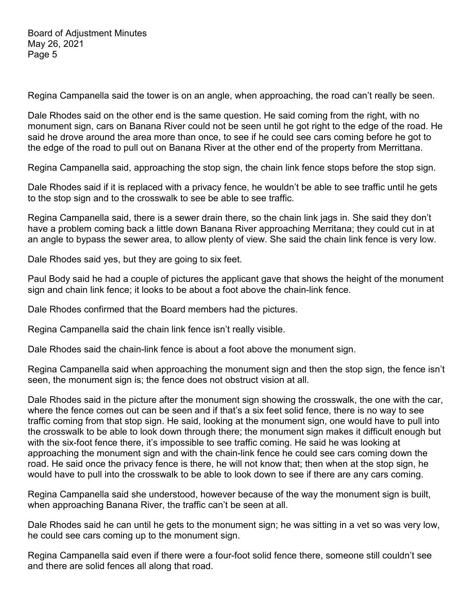Regina Campanella said the tower is on an angle, when approaching, the road can't really be seen.

Dale Rhodes said on the other end is the same question. He said coming from the right, with no monument sign, cars on Banana River could not be seen until he got right to the edge of the road. He said he drove around the area more than once, to see if he could see cars coming before he got to the edge of the road to pull out on Banana River at the other end of the property from Merrittana.

Regina Campanella said, approaching the stop sign, the chain link fence stops before the stop sign.

Dale Rhodes said if it is replaced with a privacy fence, he wouldn't be able to see traffic until he gets to the stop sign and to the crosswalk to see be able to see traffic.

Regina Campanella said, there is a sewer drain there, so the chain link jags in. She said they don't have a problem coming back a little down Banana River approaching Merritana; they could cut in at an angle to bypass the sewer area, to allow plenty of view. She said the chain link fence is very low.

Dale Rhodes said yes, but they are going to six feet.

Paul Body said he had a couple of pictures the applicant gave that shows the height of the monument sign and chain link fence; it looks to be about a foot above the chain-link fence.

Dale Rhodes confirmed that the Board members had the pictures.

Regina Campanella said the chain link fence isn't really visible.

Dale Rhodes said the chain-link fence is about a foot above the monument sign.

Regina Campanella said when approaching the monument sign and then the stop sign, the fence isn't seen, the monument sign is; the fence does not obstruct vision at all.

Dale Rhodes said in the picture after the monument sign showing the crosswalk, the one with the car, where the fence comes out can be seen and if that's a six feet solid fence, there is no way to see traffic coming from that stop sign. He said, looking at the monument sign, one would have to pull into the crosswalk to be able to look down through there; the monument sign makes it difficult enough but with the six-foot fence there, it's impossible to see traffic coming. He said he was looking at approaching the monument sign and with the chain-link fence he could see cars coming down the road. He said once the privacy fence is there, he will not know that; then when at the stop sign, he would have to pull into the crosswalk to be able to look down to see if there are any cars coming.

Regina Campanella said she understood, however because of the way the monument sign is built, when approaching Banana River, the traffic can't be seen at all.

Dale Rhodes said he can until he gets to the monument sign; he was sitting in a vet so was very low, he could see cars coming up to the monument sign.

Regina Campanella said even if there were a four-foot solid fence there, someone still couldn't see and there are solid fences all along that road.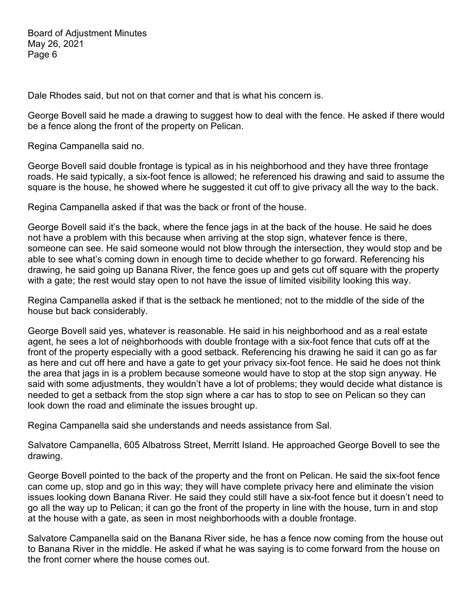Dale Rhodes said, but not on that corner and that is what his concern is.

George Bovell said he made a drawing to suggest how to deal with the fence. He asked if there would be a fence along the front of the property on Pelican.

Regina Campanella said no.

George Bovell said double frontage is typical as in his neighborhood and they have three frontage roads. He said typically, a six-foot fence is allowed; he referenced his drawing and said to assume the square is the house, he showed where he suggested it cut off to give privacy all the way to the back.

Regina Campanella asked if that was the back or front of the house.

George Bovell said it's the back, where the fence jags in at the back of the house. He said he does not have a problem with this because when arriving at the stop sign, whatever fence is there, someone can see. He said someone would not blow through the intersection, they would stop and be able to see what's coming down in enough time to decide whether to go forward. Referencing his drawing, he said going up Banana River, the fence goes up and gets cut off square with the property with a gate; the rest would stay open to not have the issue of limited visibility looking this way.

Regina Campanella asked if that is the setback he mentioned; not to the middle of the side of the house but back considerably.

George Bovell said yes, whatever is reasonable. He said in his neighborhood and as a real estate agent, he sees a lot of neighborhoods with double frontage with a six-foot fence that cuts off at the front of the property especially with a good setback. Referencing his drawing he said it can go as far as here and cut off here and have a gate to get your privacy six-foot fence. He said he does not think the area that jags in is a problem because someone would have to stop at the stop sign anyway. He said with some adjustments, they wouldn't have a lot of problems; they would decide what distance is needed to get a setback from the stop sign where a car has to stop to see on Pelican so they can look down the road and eliminate the issues brought up.

Regina Campanella said she understands and needs assistance from Sal.

Salvatore Campanella, 605 Albatross Street, Merritt Island. He approached George Bovell to see the drawing.

George Bovell pointed to the back of the property and the front on Pelican. He said the six-foot fence can come up, stop and go in this way; they will have complete privacy here and eliminate the vision issues looking down Banana River. He said they could still have a six-foot fence but it doesn't need to go all the way up to Pelican; it can go the front of the property in line with the house, turn in and stop at the house with a gate, as seen in most neighborhoods with a double frontage.

Salvatore Campanella said on the Banana River side, he has a fence now coming from the house out to Banana River in the middle. He asked if what he was saying is to come forward from the house on the front corner where the house comes out.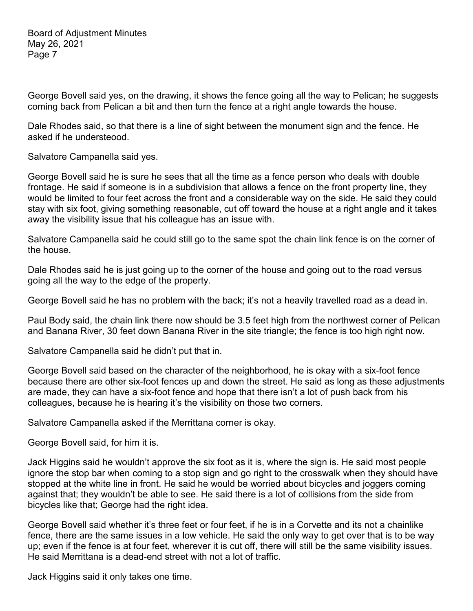George Bovell said yes, on the drawing, it shows the fence going all the way to Pelican; he suggests coming back from Pelican a bit and then turn the fence at a right angle towards the house.

Dale Rhodes said, so that there is a line of sight between the monument sign and the fence. He asked if he understeood.

Salvatore Campanella said yes.

George Bovell said he is sure he sees that all the time as a fence person who deals with double frontage. He said if someone is in a subdivision that allows a fence on the front property line, they would be limited to four feet across the front and a considerable way on the side. He said they could stay with six foot, giving something reasonable, cut off toward the house at a right angle and it takes away the visibility issue that his colleague has an issue with.

Salvatore Campanella said he could still go to the same spot the chain link fence is on the corner of the house.

Dale Rhodes said he is just going up to the corner of the house and going out to the road versus going all the way to the edge of the property.

George Bovell said he has no problem with the back; it's not a heavily travelled road as a dead in.

Paul Body said, the chain link there now should be 3.5 feet high from the northwest corner of Pelican and Banana River, 30 feet down Banana River in the site triangle; the fence is too high right now.

Salvatore Campanella said he didn't put that in.

George Bovell said based on the character of the neighborhood, he is okay with a six-foot fence because there are other six-foot fences up and down the street. He said as long as these adjustments are made, they can have a six-foot fence and hope that there isn't a lot of push back from his colleagues, because he is hearing it's the visibility on those two corners.

Salvatore Campanella asked if the Merrittana corner is okay.

George Bovell said, for him it is.

Jack Higgins said he wouldn't approve the six foot as it is, where the sign is. He said most people ignore the stop bar when coming to a stop sign and go right to the crosswalk when they should have stopped at the white line in front. He said he would be worried about bicycles and joggers coming against that; they wouldn't be able to see. He said there is a lot of collisions from the side from bicycles like that; George had the right idea.

George Bovell said whether it's three feet or four feet, if he is in a Corvette and its not a chainlike fence, there are the same issues in a low vehicle. He said the only way to get over that is to be way up; even if the fence is at four feet, wherever it is cut off, there will still be the same visibility issues. He said Merrittana is a dead-end street with not a lot of traffic.

Jack Higgins said it only takes one time.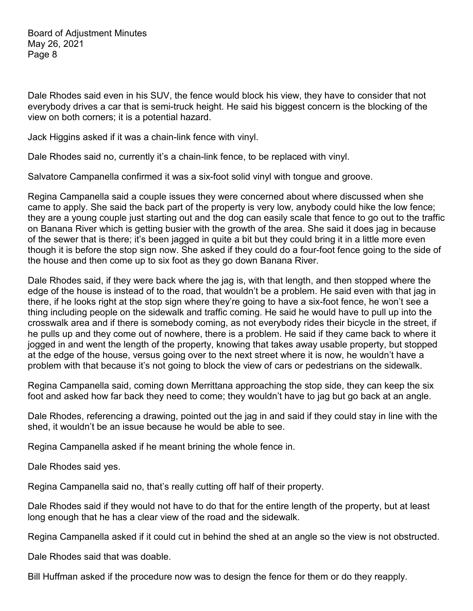Dale Rhodes said even in his SUV, the fence would block his view, they have to consider that not everybody drives a car that is semi-truck height. He said his biggest concern is the blocking of the view on both corners; it is a potential hazard.

Jack Higgins asked if it was a chain-link fence with vinyl.

Dale Rhodes said no, currently it's a chain-link fence, to be replaced with vinyl.

Salvatore Campanella confirmed it was a six-foot solid vinyl with tongue and groove.

Regina Campanella said a couple issues they were concerned about where discussed when she came to apply. She said the back part of the property is very low, anybody could hike the low fence; they are a young couple just starting out and the dog can easily scale that fence to go out to the traffic on Banana River which is getting busier with the growth of the area. She said it does jag in because of the sewer that is there; it's been jagged in quite a bit but they could bring it in a little more even though it is before the stop sign now. She asked if they could do a four-foot fence going to the side of the house and then come up to six foot as they go down Banana River.

Dale Rhodes said, if they were back where the jag is, with that length, and then stopped where the edge of the house is instead of to the road, that wouldn't be a problem. He said even with that jag in there, if he looks right at the stop sign where they're going to have a six-foot fence, he won't see a thing including people on the sidewalk and traffic coming. He said he would have to pull up into the crosswalk area and if there is somebody coming, as not everybody rides their bicycle in the street, if he pulls up and they come out of nowhere, there is a problem. He said if they came back to where it jogged in and went the length of the property, knowing that takes away usable property, but stopped at the edge of the house, versus going over to the next street where it is now, he wouldn't have a problem with that because it's not going to block the view of cars or pedestrians on the sidewalk.

Regina Campanella said, coming down Merrittana approaching the stop side, they can keep the six foot and asked how far back they need to come; they wouldn't have to jag but go back at an angle.

Dale Rhodes, referencing a drawing, pointed out the jag in and said if they could stay in line with the shed, it wouldn't be an issue because he would be able to see.

Regina Campanella asked if he meant brining the whole fence in.

Dale Rhodes said yes.

Regina Campanella said no, that's really cutting off half of their property.

Dale Rhodes said if they would not have to do that for the entire length of the property, but at least long enough that he has a clear view of the road and the sidewalk.

Regina Campanella asked if it could cut in behind the shed at an angle so the view is not obstructed.

Dale Rhodes said that was doable.

Bill Huffman asked if the procedure now was to design the fence for them or do they reapply.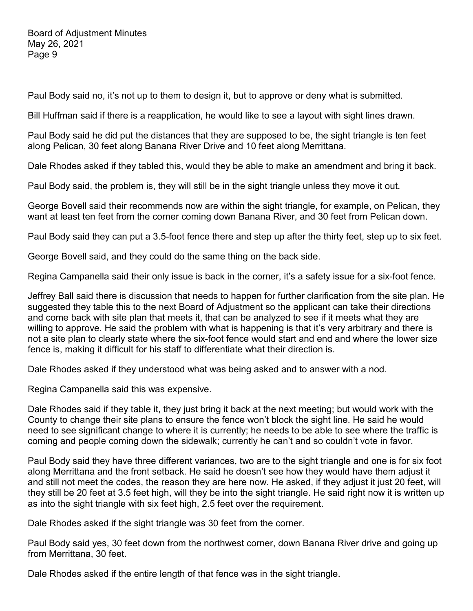Paul Body said no, it's not up to them to design it, but to approve or deny what is submitted.

Bill Huffman said if there is a reapplication, he would like to see a layout with sight lines drawn.

Paul Body said he did put the distances that they are supposed to be, the sight triangle is ten feet along Pelican, 30 feet along Banana River Drive and 10 feet along Merrittana.

Dale Rhodes asked if they tabled this, would they be able to make an amendment and bring it back.

Paul Body said, the problem is, they will still be in the sight triangle unless they move it out.

George Bovell said their recommends now are within the sight triangle, for example, on Pelican, they want at least ten feet from the corner coming down Banana River, and 30 feet from Pelican down.

Paul Body said they can put a 3.5-foot fence there and step up after the thirty feet, step up to six feet.

George Bovell said, and they could do the same thing on the back side.

Regina Campanella said their only issue is back in the corner, it's a safety issue for a six-foot fence.

Jeffrey Ball said there is discussion that needs to happen for further clarification from the site plan. He suggested they table this to the next Board of Adjustment so the applicant can take their directions and come back with site plan that meets it, that can be analyzed to see if it meets what they are willing to approve. He said the problem with what is happening is that it's very arbitrary and there is not a site plan to clearly state where the six-foot fence would start and end and where the lower size fence is, making it difficult for his staff to differentiate what their direction is.

Dale Rhodes asked if they understood what was being asked and to answer with a nod.

Regina Campanella said this was expensive.

Dale Rhodes said if they table it, they just bring it back at the next meeting; but would work with the County to change their site plans to ensure the fence won't block the sight line. He said he would need to see significant change to where it is currently; he needs to be able to see where the traffic is coming and people coming down the sidewalk; currently he can't and so couldn't vote in favor.

Paul Body said they have three different variances, two are to the sight triangle and one is for six foot along Merrittana and the front setback. He said he doesn't see how they would have them adjust it and still not meet the codes, the reason they are here now. He asked, if they adjust it just 20 feet, will they still be 20 feet at 3.5 feet high, will they be into the sight triangle. He said right now it is written up as into the sight triangle with six feet high, 2.5 feet over the requirement.

Dale Rhodes asked if the sight triangle was 30 feet from the corner.

Paul Body said yes, 30 feet down from the northwest corner, down Banana River drive and going up from Merrittana, 30 feet.

Dale Rhodes asked if the entire length of that fence was in the sight triangle.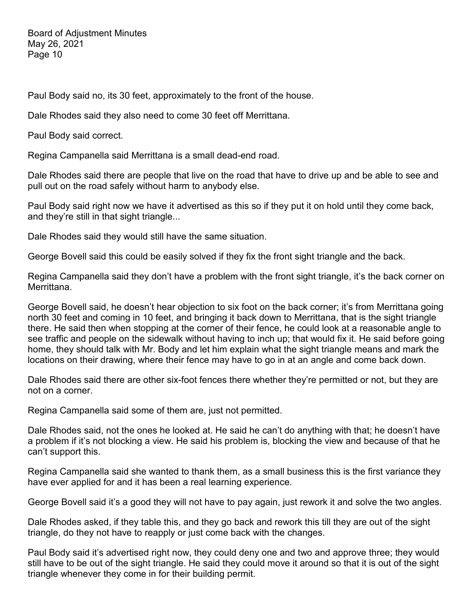Paul Body said no, its 30 feet, approximately to the front of the house.

Dale Rhodes said they also need to come 30 feet off Merrittana.

Paul Body said correct.

Regina Campanella said Merrittana is a small dead-end road.

Dale Rhodes said there are people that live on the road that have to drive up and be able to see and pull out on the road safely without harm to anybody else.

Paul Body said right now we have it advertised as this so if they put it on hold until they come back, and they're still in that sight triangle...

Dale Rhodes said they would still have the same situation.

George Bovell said this could be easily solved if they fix the front sight triangle and the back.

Regina Campanella said they don't have a problem with the front sight triangle, it's the back corner on Merrittana.

George Bovell said, he doesn't hear objection to six foot on the back corner; it's from Merrittana going north 30 feet and coming in 10 feet, and bringing it back down to Merrittana, that is the sight triangle there. He said then when stopping at the corner of their fence, he could look at a reasonable angle to see traffic and people on the sidewalk without having to inch up; that would fix it. He said before going home, they should talk with Mr. Body and let him explain what the sight triangle means and mark the locations on their drawing, where their fence may have to go in at an angle and come back down.

Dale Rhodes said there are other six-foot fences there whether they're permitted or not, but they are not on a corner.

Regina Campanella said some of them are, just not permitted.

Dale Rhodes said, not the ones he looked at. He said he can't do anything with that; he doesn't have a problem if it's not blocking a view. He said his problem is, blocking the view and because of that he can't support this.

Regina Campanella said she wanted to thank them, as a small business this is the first variance they have ever applied for and it has been a real learning experience.

George Bovell said it's a good they will not have to pay again, just rework it and solve the two angles.

Dale Rhodes asked, if they table this, and they go back and rework this till they are out of the sight triangle, do they not have to reapply or just come back with the changes.

Paul Body said it's advertised right now, they could deny one and two and approve three; they would still have to be out of the sight triangle. He said they could move it around so that it is out of the sight triangle whenever they come in for their building permit.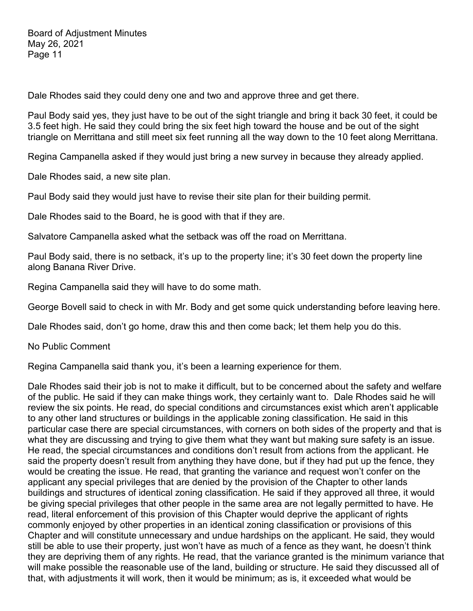Dale Rhodes said they could deny one and two and approve three and get there.

Paul Body said yes, they just have to be out of the sight triangle and bring it back 30 feet, it could be 3.5 feet high. He said they could bring the six feet high toward the house and be out of the sight triangle on Merrittana and still meet six feet running all the way down to the 10 feet along Merrittana.

Regina Campanella asked if they would just bring a new survey in because they already applied.

Dale Rhodes said, a new site plan.

Paul Body said they would just have to revise their site plan for their building permit.

Dale Rhodes said to the Board, he is good with that if they are.

Salvatore Campanella asked what the setback was off the road on Merrittana.

Paul Body said, there is no setback, it's up to the property line; it's 30 feet down the property line along Banana River Drive.

Regina Campanella said they will have to do some math.

George Bovell said to check in with Mr. Body and get some quick understanding before leaving here.

Dale Rhodes said, don't go home, draw this and then come back; let them help you do this.

No Public Comment

Regina Campanella said thank you, it's been a learning experience for them.

Dale Rhodes said their job is not to make it difficult, but to be concerned about the safety and welfare of the public. He said if they can make things work, they certainly want to. Dale Rhodes said he will review the six points. He read, do special conditions and circumstances exist which aren't applicable to any other land structures or buildings in the applicable zoning classification. He said in this particular case there are special circumstances, with corners on both sides of the property and that is what they are discussing and trying to give them what they want but making sure safety is an issue. He read, the special circumstances and conditions don't result from actions from the applicant. He said the property doesn't result from anything they have done, but if they had put up the fence, they would be creating the issue. He read, that granting the variance and request won't confer on the applicant any special privileges that are denied by the provision of the Chapter to other lands buildings and structures of identical zoning classification. He said if they approved all three, it would be giving special privileges that other people in the same area are not legally permitted to have. He read, literal enforcement of this provision of this Chapter would deprive the applicant of rights commonly enjoyed by other properties in an identical zoning classification or provisions of this Chapter and will constitute unnecessary and undue hardships on the applicant. He said, they would still be able to use their property, just won't have as much of a fence as they want, he doesn't think they are depriving them of any rights. He read, that the variance granted is the minimum variance that will make possible the reasonable use of the land, building or structure. He said they discussed all of that, with adjustments it will work, then it would be minimum; as is, it exceeded what would be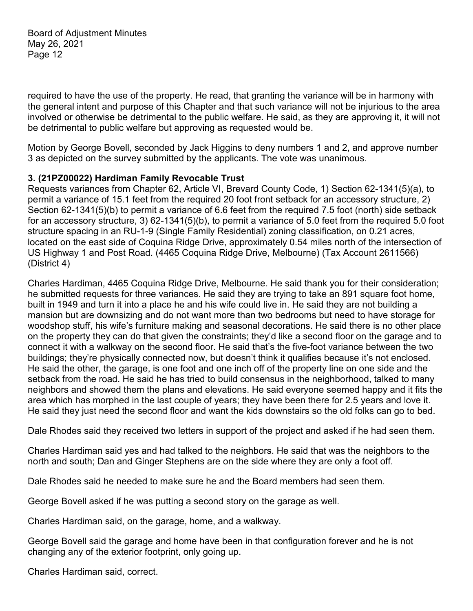required to have the use of the property. He read, that granting the variance will be in harmony with the general intent and purpose of this Chapter and that such variance will not be injurious to the area involved or otherwise be detrimental to the public welfare. He said, as they are approving it, it will not be detrimental to public welfare but approving as requested would be.

Motion by George Bovell, seconded by Jack Higgins to deny numbers 1 and 2, and approve number 3 as depicted on the survey submitted by the applicants. The vote was unanimous.

## **3. (21PZ00022) Hardiman Family Revocable Trust**

Requests variances from Chapter 62, Article VI, Brevard County Code, 1) Section 62-1341(5)(a), to permit a variance of 15.1 feet from the required 20 foot front setback for an accessory structure, 2) Section 62-1341(5)(b) to permit a variance of 6.6 feet from the required 7.5 foot (north) side setback for an accessory structure, 3) 62-1341(5)(b), to permit a variance of 5.0 feet from the required 5.0 foot structure spacing in an RU-1-9 (Single Family Residential) zoning classification, on 0.21 acres, located on the east side of Coquina Ridge Drive, approximately 0.54 miles north of the intersection of US Highway 1 and Post Road. (4465 Coquina Ridge Drive, Melbourne) (Tax Account 2611566) (District 4)

Charles Hardiman, 4465 Coquina Ridge Drive, Melbourne. He said thank you for their consideration; he submitted requests for three variances. He said they are trying to take an 891 square foot home, built in 1949 and turn it into a place he and his wife could live in. He said they are not building a mansion but are downsizing and do not want more than two bedrooms but need to have storage for woodshop stuff, his wife's furniture making and seasonal decorations. He said there is no other place on the property they can do that given the constraints; they'd like a second floor on the garage and to connect it with a walkway on the second floor. He said that's the five-foot variance between the two buildings; they're physically connected now, but doesn't think it qualifies because it's not enclosed. He said the other, the garage, is one foot and one inch off of the property line on one side and the setback from the road. He said he has tried to build consensus in the neighborhood, talked to many neighbors and showed them the plans and elevations. He said everyone seemed happy and it fits the area which has morphed in the last couple of years; they have been there for 2.5 years and love it. He said they just need the second floor and want the kids downstairs so the old folks can go to bed.

Dale Rhodes said they received two letters in support of the project and asked if he had seen them.

Charles Hardiman said yes and had talked to the neighbors. He said that was the neighbors to the north and south; Dan and Ginger Stephens are on the side where they are only a foot off.

Dale Rhodes said he needed to make sure he and the Board members had seen them.

George Bovell asked if he was putting a second story on the garage as well.

Charles Hardiman said, on the garage, home, and a walkway.

George Bovell said the garage and home have been in that configuration forever and he is not changing any of the exterior footprint, only going up.

Charles Hardiman said, correct.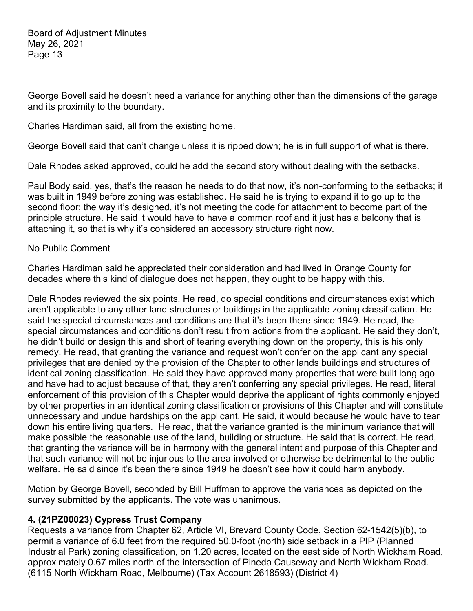George Bovell said he doesn't need a variance for anything other than the dimensions of the garage and its proximity to the boundary.

Charles Hardiman said, all from the existing home.

George Bovell said that can't change unless it is ripped down; he is in full support of what is there.

Dale Rhodes asked approved, could he add the second story without dealing with the setbacks.

Paul Body said, yes, that's the reason he needs to do that now, it's non-conforming to the setbacks; it was built in 1949 before zoning was established. He said he is trying to expand it to go up to the second floor; the way it's designed, it's not meeting the code for attachment to become part of the principle structure. He said it would have to have a common roof and it just has a balcony that is attaching it, so that is why it's considered an accessory structure right now.

#### No Public Comment

Charles Hardiman said he appreciated their consideration and had lived in Orange County for decades where this kind of dialogue does not happen, they ought to be happy with this.

Dale Rhodes reviewed the six points. He read, do special conditions and circumstances exist which aren't applicable to any other land structures or buildings in the applicable zoning classification. He said the special circumstances and conditions are that it's been there since 1949. He read, the special circumstances and conditions don't result from actions from the applicant. He said they don't, he didn't build or design this and short of tearing everything down on the property, this is his only remedy. He read, that granting the variance and request won't confer on the applicant any special privileges that are denied by the provision of the Chapter to other lands buildings and structures of identical zoning classification. He said they have approved many properties that were built long ago and have had to adjust because of that, they aren't conferring any special privileges. He read, literal enforcement of this provision of this Chapter would deprive the applicant of rights commonly enjoyed by other properties in an identical zoning classification or provisions of this Chapter and will constitute unnecessary and undue hardships on the applicant. He said, it would because he would have to tear down his entire living quarters. He read, that the variance granted is the minimum variance that will make possible the reasonable use of the land, building or structure. He said that is correct. He read, that granting the variance will be in harmony with the general intent and purpose of this Chapter and that such variance will not be injurious to the area involved or otherwise be detrimental to the public welfare. He said since it's been there since 1949 he doesn't see how it could harm anybody.

Motion by George Bovell, seconded by Bill Huffman to approve the variances as depicted on the survey submitted by the applicants. The vote was unanimous.

## **4. (21PZ00023) Cypress Trust Company**

Requests a variance from Chapter 62, Article VI, Brevard County Code, Section 62-1542(5)(b), to permit a variance of 6.0 feet from the required 50.0-foot (north) side setback in a PIP (Planned Industrial Park) zoning classification, on 1.20 acres, located on the east side of North Wickham Road, approximately 0.67 miles north of the intersection of Pineda Causeway and North Wickham Road. (6115 North Wickham Road, Melbourne) (Tax Account 2618593) (District 4)